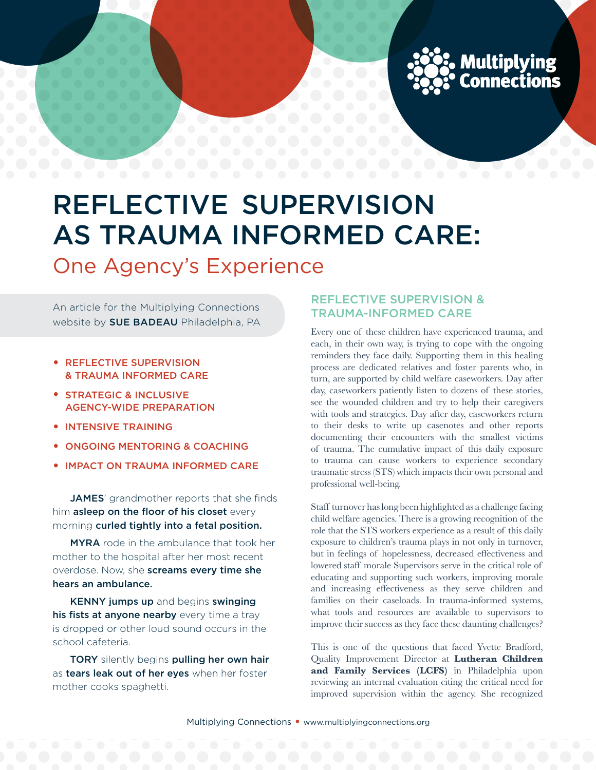

# Reflective Supervision as Trauma informed care:

One Agency's Experience

An article for the Multiplying Connections website by **SUE BADEAU** Philadelphia, PA

- Reflective Supervision & Trauma Informed Care
- Strategic & Inclusive Agency-wide Preparation
- Intensive Training
- Ongoing Mentoring & Coaching
- IMPACT ON TRAUMA INFORMED CARE

JAMES' grandmother reports that she finds him asleep on the floor of his closet every morning curled tightly into a fetal position.

MYRA rode in the ambulance that took her mother to the hospital after her most recent overdose. Now, she screams every time she hears an ambulance.

KENNY jumps up and begins swinging his fists at anyone nearby every time a tray is dropped or other loud sound occurs in the school cafeteria.

TORY silently begins pulling her own hair as tears leak out of her eyes when her foster mother cooks spaghetti.

# Reflective Supervision & Trauma-Informed Care

Every one of these children have experienced trauma, and each, in their own way, is trying to cope with the ongoing reminders they face daily. Supporting them in this healing process are dedicated relatives and foster parents who, in turn, are supported by child welfare caseworkers. Day after day, caseworkers patiently listen to dozens of these stories, see the wounded children and try to help their caregivers with tools and strategies. Day after day, caseworkers return to their desks to write up casenotes and other reports documenting their encounters with the smallest victims of trauma. The cumulative impact of this daily exposure to trauma can cause workers to experience secondary traumatic stress (STS) which impacts their own personal and professional well-being.

Staff turnover has long been highlighted as a challenge facing child welfare agencies. There is a growing recognition of the role that the STS workers experience as a result of this daily exposure to children's trauma plays in not only in turnover, but in feelings of hopelessness, decreased effectiveness and lowered staff morale Supervisors serve in the critical role of educating and supporting such workers, improving morale and increasing effectiveness as they serve children and families on their caseloads. In trauma-informed systems, what tools and resources are available to supervisors to improve their success as they face these daunting challenges?

This is one of the questions that faced Yvette Bradford, Quality Improvement Director at **Lutheran Children and Family Services (LCFS)** in Philadelphia upon reviewing an internal evaluation citing the critical need for improved supervision within the agency. She recognized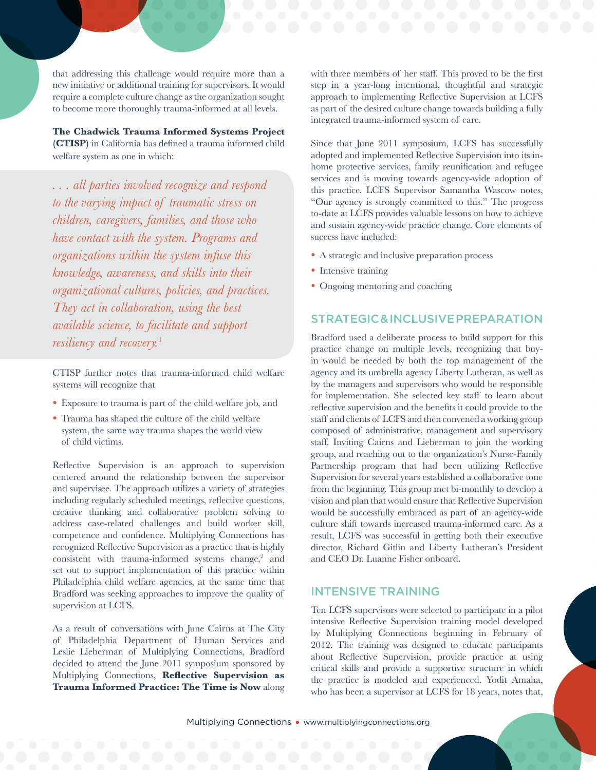that addressing this challenge would require more than a new initiative or additional training for supervisors. It would require a complete culture change as the organization sought to become more thoroughly trauma-informed at all levels.

# **The Chadwick Trauma Informed Systems Project**

**(CTISP)** in California has defined a trauma informed child welfare system as one in which:

*. . . all parties involved recognize and respond to the varying impact of traumatic stress on children, caregivers, families, and those who have contact with the system. Programs and organizations within the system infuse this knowledge, awareness, and skills into their organizational cultures, policies, and practices. They act in collaboration, using the best available science, to facilitate and support resiliency and recovery.*<sup>1</sup>

CTISP further notes that trauma-informed child welfare systems will recognize that

- Exposure to trauma is part of the child welfare job, and
- Trauma has shaped the culture of the child welfare system, the same way trauma shapes the world view of child victims.

Reflective Supervision is an approach to supervision centered around the relationship between the supervisor and supervisee. The approach utilizes a variety of strategies including regularly scheduled meetings, reflective questions, creative thinking and collaborative problem solving to address case-related challenges and build worker skill, competence and confidence. Multiplying Connections has recognized Reflective Supervision as a practice that is highly consistent with trauma-informed systems change, $2$  and set out to support implementation of this practice within Philadelphia child welfare agencies, at the same time that Bradford was seeking approaches to improve the quality of supervision at LCFS.

As a result of conversations with June Cairns at The City of Philadelphia Department of Human Services and Leslie Lieberman of Multiplying Connections, Bradford decided to attend the June 2011 symposium sponsored by Multiplying Connections, **Reflective Supervision as Trauma Informed Practice: The Time is Now** along

with three members of her staff. This proved to be the first step in a year-long intentional, thoughtful and strategic approach to implementing Reflective Supervision at LCFS as part of the desired culture change towards building a fully integrated trauma-informed system of care.

Since that June 2011 symposium, LCFS has successfully adopted and implemented Reflective Supervision into its inhome protective services, family reunification and refugee services and is moving towards agency-wide adoption of this practice. LCFS Supervisor Samantha Wascow notes, "Our agency is strongly committed to this." The progress to-date at LCFS provides valuable lessons on how to achieve and sustain agency-wide practice change. Core elements of success have included:

- A strategic and inclusive preparation process
- Intensive training
- Ongoing mentoring and coaching

#### Strategic & Inclusive Preparation

Bradford used a deliberate process to build support for this practice change on multiple levels, recognizing that buyin would be needed by both the top management of the agency and its umbrella agency Liberty Lutheran, as well as by the managers and supervisors who would be responsible for implementation. She selected key staff to learn about reflective supervision and the benefits it could provide to the staff and clients of LCFS and then convened a working group composed of administrative, management and supervisory staff. Inviting Cairns and Lieberman to join the working group, and reaching out to the organization's Nurse-Family Partnership program that had been utilizing Reflective Supervision for several years established a collaborative tone from the beginning. This group met bi-monthly to develop a vision and plan that would ensure that Reflective Supervision would be successfully embraced as part of an agency-wide culture shift towards increased trauma-informed care. As a result, LCFS was successful in getting both their executive director, Richard Gitlin and Liberty Lutheran's President and CEO Dr. Luanne Fisher onboard.

#### Intensive Training

Ten LCFS supervisors were selected to participate in a pilot intensive Reflective Supervision training model developed by Multiplying Connections beginning in February of 2012. The training was designed to educate participants about Reflective Supervision, provide practice at using critical skills and provide a supportive structure in which the practice is modeled and experienced. Yodit Amaha, who has been a supervisor at LCFS for 18 years, notes that,